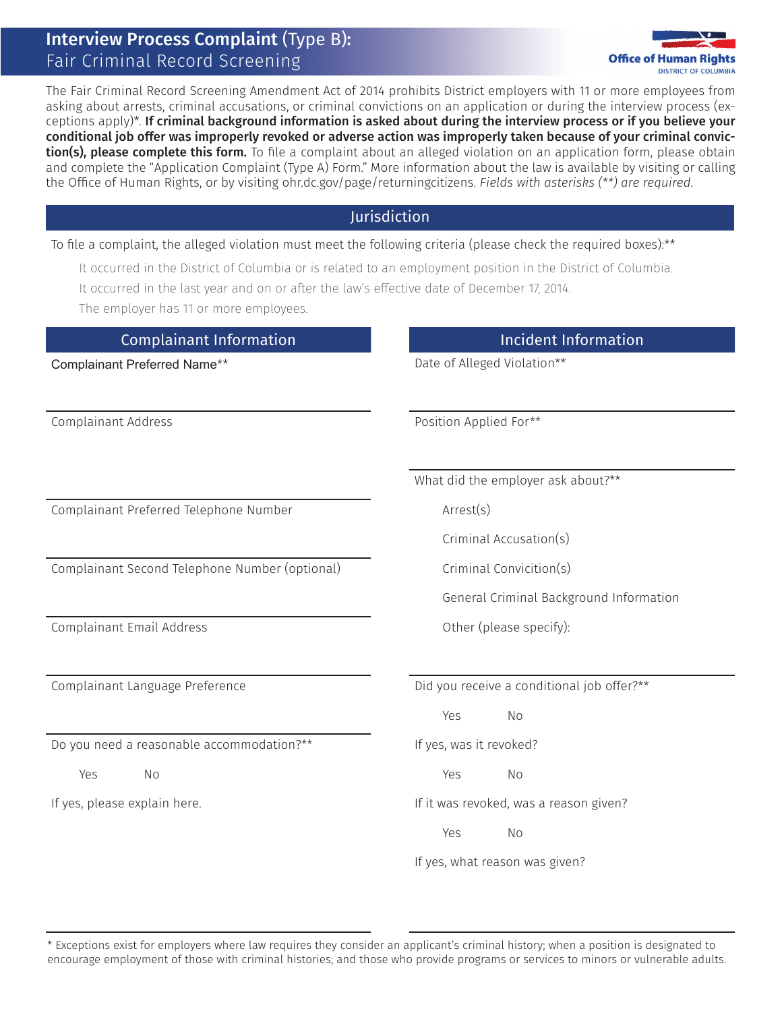# Interview Process Complaint (Type B): Fair Criminal Record Screening



The Fair Criminal Record Screening Amendment Act of 2014 prohibits District employers with 11 or more employees from asking about arrests, criminal accusations, or criminal convictions on an application or during the interview process (exceptions apply)\*. If criminal background information is asked about during the interview process or if you believe your conditional job offer was improperly revoked or adverse action was improperly taken because of your criminal conviction(s), please complete this form. To file a complaint about an alleged violation on an application form, please obtain and complete the "Application Complaint (Type A) Form." More information about the law is available by visiting or calling the Office of Human Rights, or by visiting ohr.dc.gov/page/returningcitizens. *Fields with asterisks (\*\*) are required.* 

#### Jurisdiction

#### To file a complaint, the alleged violation must meet the following criteria (please check the required boxes):\*\*

- It occurred in the District of Columbia or is related to an employment position in the District of Columbia.
- It occurred in the last year and on or after the law's effective date of December 17, 2014.

The employer has 11 or more employees.

## Complainant Information **Incident Information**

Complainant Preferred Telephone Number Arrest(s)

Complainant Second Telephone Number (optional) Criminal Convicition(s)

Complainant Email Address Complainant Email Address Complainant Email Address Complainant Email Address Complaint Complaint Complaint Complaint Complaint Complaint Complaint Complaint Complaint Complaint Complaint Complain

Do you need a reasonable accommodation?\*\* If yes, was it revoked?

Complainant Preferred Name<sup>\*\*</sup> Complainant Preferred Name<sup>\*\*</sup>

Complainant Address **Position Applied For\*\*** 

What did the employer ask about?\*\*

Criminal Accusation(s)

General Criminal Background Information

Complainant Language Preference **Did** you receive a conditional job offer?\*\*

Yes No

Yes No Yes No

If yes, please explain here. If it was revoked, was a reason given?

Yes No

If yes, what reason was given?

\* Exceptions exist for employers where law requires they consider an applicant's criminal history; when a position is designated to encourage employment of those with criminal histories; and those who provide programs or services to minors or vulnerable adults.